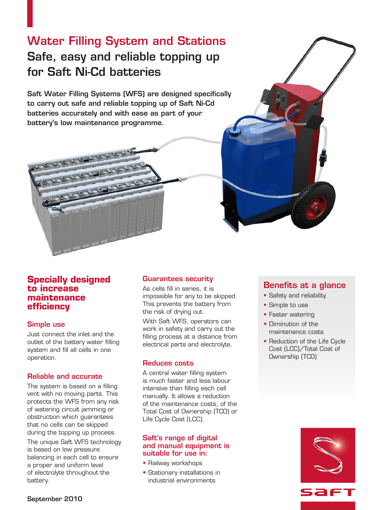# Water Filling System and Stations Safe, easy and reliable topping up for Saft Ni-Cd batteries

Saft Water Filling Systems (WFS) are designed specifically to carry out safe and reliable topping up of Saft Ni-Cd batteries accurately and with ease as part of your battery's low maintenance programme.



# **Specially designed to increase maintenance efficiency**

# Simple use

Just connect the inlet and the outlet of the battery water filling system and fill all cells in one operation.

### Reliable and accurate

The system is based on a filling vent with no moving parts. This protects the WFS from any risk of watering circuit jamming or obstruction which guarantees that no cells can be skipped during the topping up process.

The unique Saft WFS technology is based on low pressure balancing in each cell to ensure a proper and uniform level of electrolyte throughout the battery.

# Guarantees security

As cells fill in series, it is impossible for any to be skipped. This prevents the battery from the risk of drying out.

With Saft WFS, operators can work in safety and carry out the filling process at a distance from electrical parts and electrolyte.

# Reduces costs

A central water filling system is much faster and less labour intensive than filling each cell manually. It allows a reduction of the maintenance costs, of the Total Cost of Ownership (TCO) or Life Cycle Cost (LCC).

### Saft's range of digital and manual equipment is suitable for use in:

- Railway workshops
- • Stationary installations in industrial environments

# Benefits at a glance

- Safety and reliability
- Simple to use
- Faster watering
- Diminution of the maintenance costs
- Reduction of the Life Cycle Cost (LCC)/Total Cost of Ownership (TCO)

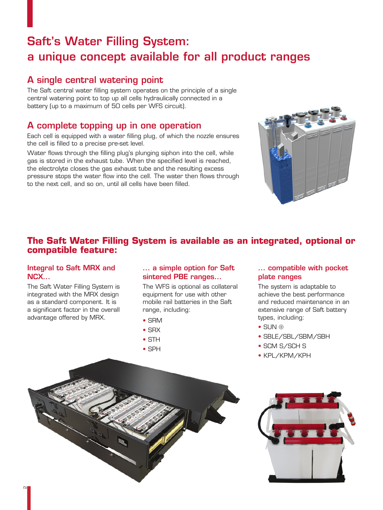# Saft's Water Filling System: a unique concept available for all product ranges

The Saft central water filling system operates on the principle of a single central watering point to top up all cells hydraulically connected in a battery (up to a maximum of 50 cells per WFS circuit).

# A complete topping up in one operation

Each cell is equipped with a water filling plug, of which the nozzle ensures the cell is filled to a precise pre-set level.

Water flows through the filling plug's plunging siphon into the cell, while gas is stored in the exhaust tube. When the specified level is reached, the electrolyte closes the gas exhaust tube and the resulting excess pressure stops the water flow into the cell. The water then flows through to the next cell, and so on, until all cells have been filled.



# **The Saft Water Filling System is available as an integrated, optional or compatible feature:**

# Integral to Saft MRX and NCX...

The Saft Water Filling System is integrated with the MRX design as a standard component. It is a significant factor in the overall advantage offered by MRX.

# ... a simple option for Saft sintered PBE ranges...

The WFS is optional as collateral equipment for use with other mobile rail batteries in the Saft range, including:

- • SRM
- SRX
- • STH
- • SPH

# ... compatible with pocket plate ranges

The system is adaptable to achieve the best performance and reduced maintenance in an extensive range of Saft battery types, including:

- • SUN ⊕
- SBLE/SBL/SBM/SBH
- SCM S/SCH S
- • KPL/KPM/KPH



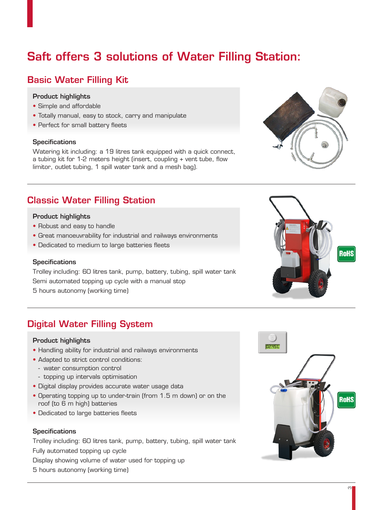# Saft offers 3 solutions of Water Filling Station:

# Basic Water Filling Kit

### Product highlights

- • Simple and affordable
- Totally manual, easy to stock, carry and manipulate
- Perfect for small battery fleets

### **Specifications**

Watering kit including: a 19 litres tank equipped with a quick connect, a tubing kit for 1-2 meters height (insert, coupling + vent tube, flow limitor, outlet tubing, 1 spill water tank and a mesh bag).

# Classic Water Filling Station

### Product highlights

- Robust and easy to handle
- Great manoeuvrability for industrial and railways environments
- Dedicated to medium to large batteries fleets

### **Specifications**

Trolley including: 60 litres tank, pump, battery, tubing, spill water tank Semi automated topping up cycle with a manual stop 5 hours autonomy (working time)

# Digital Water Filling System

### Product highlights

- Handling ability for industrial and railways environments
- Adapted to strict control conditions:
	- water consumption control
	- topping up intervals optimisation
- • Digital display provides accurate water usage data
- Operating topping up to under-train (from 1.5 m down) or on the roof (to 6 m high) batteries
- Dedicated to large batteries fleets

### **Specifications**

Trolley including: 60 litres tank, pump, battery, tubing, spill water tank Fully automated topping up cycle

Display showing volume of water used for topping up

5 hours autonomy (working time)